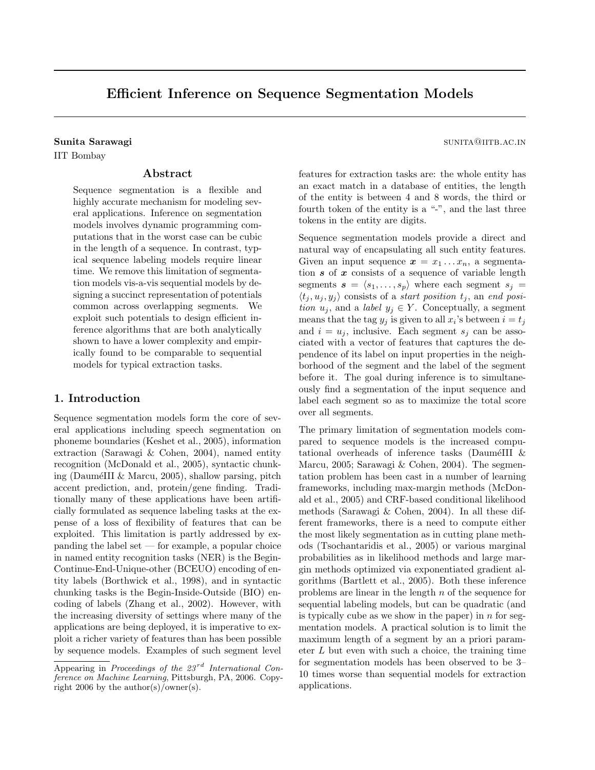# Efficient Inference on Sequence Segmentation Models

## Sunita Sarawagi sunita Sarawagi sunita Sarawagi sunita Sarawagi sunita Sarawagi sunita Sarawagi sunita Sarawagi sunita Sarawagi sunita Sarawagi sunita Sarawagi sunita Sarawagi sunita Sarawagi sunita Sarawagi sunita Sarawag

IIT Bombay

## Abstract

Sequence segmentation is a flexible and highly accurate mechanism for modeling several applications. Inference on segmentation models involves dynamic programming computations that in the worst case can be cubic in the length of a sequence. In contrast, typical sequence labeling models require linear time. We remove this limitation of segmentation models vis-a-vis sequential models by designing a succinct representation of potentials common across overlapping segments. We exploit such potentials to design efficient inference algorithms that are both analytically shown to have a lower complexity and empirically found to be comparable to sequential models for typical extraction tasks.

## 1. Introduction

Sequence segmentation models form the core of several applications including speech segmentation on phoneme boundaries (Keshet et al., 2005), information extraction (Sarawagi & Cohen, 2004), named entity recognition (McDonald et al., 2005), syntactic chunking (DauméIII & Marcu,  $2005$ ), shallow parsing, pitch accent prediction, and, protein/gene finding. Traditionally many of these applications have been artificially formulated as sequence labeling tasks at the expense of a loss of flexibility of features that can be exploited. This limitation is partly addressed by expanding the label set — for example, a popular choice in named entity recognition tasks (NER) is the Begin-Continue-End-Unique-other (BCEUO) encoding of entity labels (Borthwick et al., 1998), and in syntactic chunking tasks is the Begin-Inside-Outside (BIO) encoding of labels (Zhang et al., 2002). However, with the increasing diversity of settings where many of the applications are being deployed, it is imperative to exploit a richer variety of features than has been possible by sequence models. Examples of such segment level

features for extraction tasks are: the whole entity has an exact match in a database of entities, the length of the entity is between 4 and 8 words, the third or fourth token of the entity is a "-", and the last three tokens in the entity are digits.

Sequence segmentation models provide a direct and natural way of encapsulating all such entity features. Given an input sequence  $\mathbf{x} = x_1 \dots x_n$ , a segmentation  $s$  of  $x$  consists of a sequence of variable length segments  $s = \langle s_1, \ldots, s_p \rangle$  where each segment  $s_j =$  $\langle t_i, u_j, y_j \rangle$  consists of a start position  $t_j$ , an end position  $u_j$ , and a label  $y_j \in Y$ . Conceptually, a segment means that the tag  $y_j$  is given to all  $x_i$ 's between  $i = t_j$ and  $i = u_j$ , inclusive. Each segment  $s_j$  can be associated with a vector of features that captures the dependence of its label on input properties in the neighborhood of the segment and the label of the segment before it. The goal during inference is to simultaneously find a segmentation of the input sequence and label each segment so as to maximize the total score over all segments.

The primary limitation of segmentation models compared to sequence models is the increased computational overheads of inference tasks (DauméIII  $\&$ Marcu, 2005; Sarawagi & Cohen, 2004). The segmentation problem has been cast in a number of learning frameworks, including max-margin methods (McDonald et al., 2005) and CRF-based conditional likelihood methods (Sarawagi & Cohen, 2004). In all these different frameworks, there is a need to compute either the most likely segmentation as in cutting plane methods (Tsochantaridis et al., 2005) or various marginal probabilities as in likelihood methods and large margin methods optimized via exponentiated gradient algorithms (Bartlett et al., 2005). Both these inference problems are linear in the length  $n$  of the sequence for sequential labeling models, but can be quadratic (and is typically cube as we show in the paper) in n for segmentation models. A practical solution is to limit the maximum length of a segment by an a priori parameter  $L$  but even with such a choice, the training time for segmentation models has been observed to be 3– 10 times worse than sequential models for extraction applications.

Appearing in Proceedings of the  $23^{rd}$  International Conference on Machine Learning, Pittsburgh, PA, 2006. Copyright 2006 by the author(s)/owner(s).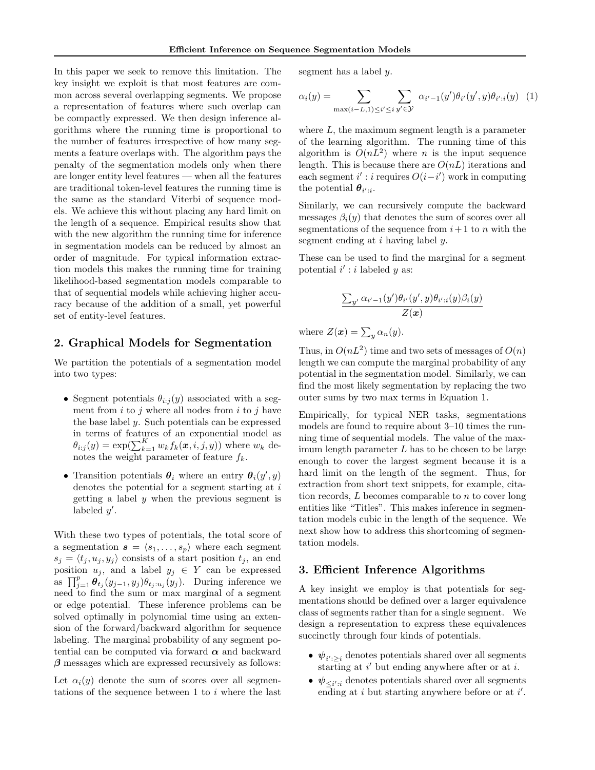In this paper we seek to remove this limitation. The key insight we exploit is that most features are common across several overlapping segments. We propose a representation of features where such overlap can be compactly expressed. We then design inference algorithms where the running time is proportional to the number of features irrespective of how many segments a feature overlaps with. The algorithm pays the penalty of the segmentation models only when there are longer entity level features — when all the features are traditional token-level features the running time is the same as the standard Viterbi of sequence models. We achieve this without placing any hard limit on the length of a sequence. Empirical results show that with the new algorithm the running time for inference in segmentation models can be reduced by almost an order of magnitude. For typical information extraction models this makes the running time for training likelihood-based segmentation models comparable to that of sequential models while achieving higher accuracy because of the addition of a small, yet powerful set of entity-level features.

#### 2. Graphical Models for Segmentation

We partition the potentials of a segmentation model into two types:

- Segment potentials  $\theta_{i:j}(y)$  associated with a segment from  $i$  to  $j$  where all nodes from  $i$  to  $j$  have the base label  $y$ . Such potentials can be expressed in terms of features of an exponential model as  $\theta_{i:j}(y) = \exp(\sum_{k=1}^K w_k f_k(\boldsymbol{x}, i, j, y))$  where  $w_k$  denotes the weight parameter of feature  $f_k$ .
- Transition potentials  $\theta_i$  where an entry  $\theta_i(y', y)$ denotes the potential for a segment starting at i getting a label  $y$  when the previous segment is labeled  $y'$ .

With these two types of potentials, the total score of a segmentation  $s = \langle s_1, \ldots, s_p \rangle$  where each segment  $s_j = \langle t_j , u_j , y_j \rangle$  consists of a start position  $t_j$ , an end position  $u_j$ , and a label  $y_j \in Y$  can be expressed as  $\prod_{j=1}^p \theta_{t_j}(y_{j-1}, y_j) \theta_{t_j:u_j}(y_j)$ . During inference we need to find the sum or max marginal of a segment or edge potential. These inference problems can be solved optimally in polynomial time using an extension of the forward/backward algorithm for sequence labeling. The marginal probability of any segment potential can be computed via forward  $\alpha$  and backward  $\beta$  messages which are expressed recursively as follows:

Let  $\alpha_i(y)$  denote the sum of scores over all segmentations of the sequence between 1 to  $i$  where the last segment has a label y.

$$
\alpha_i(y) = \sum_{\max(i-L,1) \le i' \le i} \sum_{y' \in \mathcal{Y}} \alpha_{i'-1}(y') \theta_{i'}(y',y) \theta_{i':i}(y) \tag{1}
$$

where  $L$ , the maximum segment length is a parameter of the learning algorithm. The running time of this algorithm is  $O(nL^2)$  where *n* is the input sequence length. This is because there are  $O(nL)$  iterations and each segment  $i'$ :  $i$  requires  $O(i-i')$  work in computing the potential  $\theta_{i':i}$ .

Similarly, we can recursively compute the backward messages  $\beta_i(y)$  that denotes the sum of scores over all segmentations of the sequence from  $i+1$  to n with the segment ending at  $i$  having label  $y$ .

These can be used to find the marginal for a segment potential  $i' : i$  labeled y as:

$$
\frac{\sum_{y'} \alpha_{i'-1}(y')\theta_{i'}(y',y)\theta_{i':i}(y)\beta_i(y)}{Z(\boldsymbol{x})}
$$

where  $Z(\boldsymbol{x}) = \sum_{y} \alpha_n(y)$ .

Thus, in  $O(nL^2)$  time and two sets of messages of  $O(n)$ length we can compute the marginal probability of any potential in the segmentation model. Similarly, we can find the most likely segmentation by replacing the two outer sums by two max terms in Equation 1.

Empirically, for typical NER tasks, segmentations models are found to require about 3–10 times the running time of sequential models. The value of the maximum length parameter  $L$  has to be chosen to be large enough to cover the largest segment because it is a hard limit on the length of the segment. Thus, for extraction from short text snippets, for example, citation records,  $L$  becomes comparable to  $n$  to cover long entities like "Titles". This makes inference in segmentation models cubic in the length of the sequence. We next show how to address this shortcoming of segmentation models.

### 3. Efficient Inference Algorithms

A key insight we employ is that potentials for segmentations should be defined over a larger equivalence class of segments rather than for a single segment. We design a representation to express these equivalences succinctly through four kinds of potentials.

- $\psi_{i':\geq i}$  denotes potentials shared over all segments starting at  $i'$  but ending anywhere after or at i.
- $\psi_{\leq i':i}$  denotes potentials shared over all segments ending at i but starting anywhere before or at  $i'$ .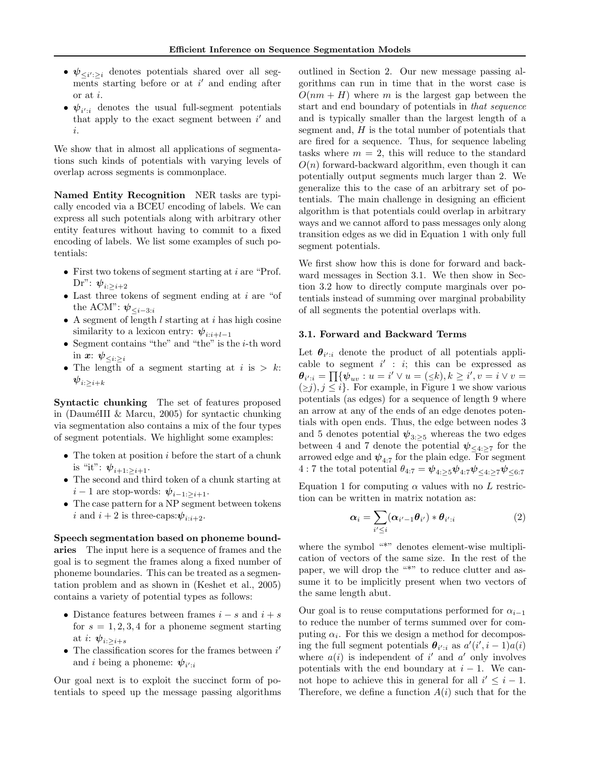- $\psi_{\leq i':\geq i}$  denotes potentials shared over all segments starting before or at  $i'$  and ending after or at i.
- $\psi_{i':i}$  denotes the usual full-segment potentials that apply to the exact segment between  $i'$  and i.

We show that in almost all applications of segmentations such kinds of potentials with varying levels of overlap across segments is commonplace.

Named Entity Recognition NER tasks are typically encoded via a BCEU encoding of labels. We can express all such potentials along with arbitrary other entity features without having to commit to a fixed encoding of labels. We list some examples of such potentials:

- First two tokens of segment starting at *i* are "Prof. Dr":  $\psi_{i: \geq i+2}$
- $\bullet$  Last three tokens of segment ending at  $i$  are "of the ACM":  $\psi_{\leq i-3:i}$
- A segment of length  $l$  starting at  $i$  has high cosine similarity to a lexicon entry:  $\psi_{i:i+l-1}$
- $\bullet\,$  Segment contains "the" and "the" is the  $i\text{-th}$  word in  $x: \psi_{\leq i \geq i}$
- The length of a segment starting at  $i$  is  $> k$ :  ${\boldsymbol \psi}_{i: \geq i+k}$

Syntactic chunking The set of features proposed in (DauméIII & Marcu, 2005) for syntactic chunking via segmentation also contains a mix of the four types of segment potentials. We highlight some examples:

- The token at position  $i$  before the start of a chunk is "it":  $\psi_{i+1:>i+1}$ .
- The second and third token of a chunk starting at  $i-1$  are stop-words:  $\psi_{i-1:>i+1}$ .
- The case pattern for a NP segment between tokens i and  $i + 2$  is three-caps: $\psi_{i:i+2}$ .

Speech segmentation based on phoneme bound-

aries The input here is a sequence of frames and the goal is to segment the frames along a fixed number of phoneme boundaries. This can be treated as a segmentation problem and as shown in (Keshet et al., 2005) contains a variety of potential types as follows:

- Distance features between frames  $i s$  and  $i + s$ for  $s = 1, 2, 3, 4$  for a phoneme segment starting at *i*:  $\psi_{i:\geq i+s}$
- $\bullet~$  The classification scores for the frames between  $i'$ and *i* being a phoneme:  $\psi_{i':i}$

Our goal next is to exploit the succinct form of potentials to speed up the message passing algorithms outlined in Section 2. Our new message passing algorithms can run in time that in the worst case is  $O(nm + H)$  where m is the largest gap between the start and end boundary of potentials in that sequence and is typically smaller than the largest length of a segment and,  $H$  is the total number of potentials that are fired for a sequence. Thus, for sequence labeling tasks where  $m = 2$ , this will reduce to the standard  $O(n)$  forward-backward algorithm, even though it can potentially output segments much larger than 2. We generalize this to the case of an arbitrary set of potentials. The main challenge in designing an efficient algorithm is that potentials could overlap in arbitrary ways and we cannot afford to pass messages only along transition edges as we did in Equation 1 with only full segment potentials.

We first show how this is done for forward and backward messages in Section 3.1. We then show in Section 3.2 how to directly compute marginals over potentials instead of summing over marginal probability of all segments the potential overlaps with.

### 3.1. Forward and Backward Terms

Let  $\theta_{i':i}$  denote the product of all potentials applicable to segment  $i' : i$ ; this can be expressed as  $\theta_{i':i} = \prod \{ \psi_{uv} : u = i' \vee u = (\leq k), k \geq i', v = i \vee v = i$  $\{\geq j\}, j \leq i\}.$  For example, in Figure 1 we show various potentials (as edges) for a sequence of length 9 where an arrow at any of the ends of an edge denotes potentials with open ends. Thus, the edge between nodes 3 and 5 denotes potential  $\psi_{3:\geq 5}$  whereas the two edges between 4 and 7 denote the potential  $\psi_{\leq 4 \geq 7}$  for the arrowed edge and  $\psi_{4:7}$  for the plain edge. For segment 4 : 7 the total potential  $\theta_{4:7} = \psi_{4:25} \psi_{4:7} \psi_{\leq 4:27} \psi_{\leq 6:7}$ Equation 1 for computing  $\alpha$  values with no L restriction can be written in matrix notation as:

$$
\boldsymbol{\alpha}_i = \sum_{i' \leq i} (\boldsymbol{\alpha}_{i'-1} \boldsymbol{\theta}_{i'}) \ast \boldsymbol{\theta}_{i':i} \tag{2}
$$

where the symbol "\*" denotes element-wise multiplication of vectors of the same size. In the rest of the paper, we will drop the "\*" to reduce clutter and assume it to be implicitly present when two vectors of the same length abut.

Our goal is to reuse computations performed for  $\alpha_{i-1}$ to reduce the number of terms summed over for computing  $\alpha_i$ . For this we design a method for decomposing the full segment potentials  $\theta_{i':i}$  as  $a'(i', i - 1)a(i)$ where  $a(i)$  is independent of i' and a' only involves potentials with the end boundary at  $i - 1$ . We cannot hope to achieve this in general for all  $i' \leq i - 1$ . Therefore, we define a function  $A(i)$  such that for the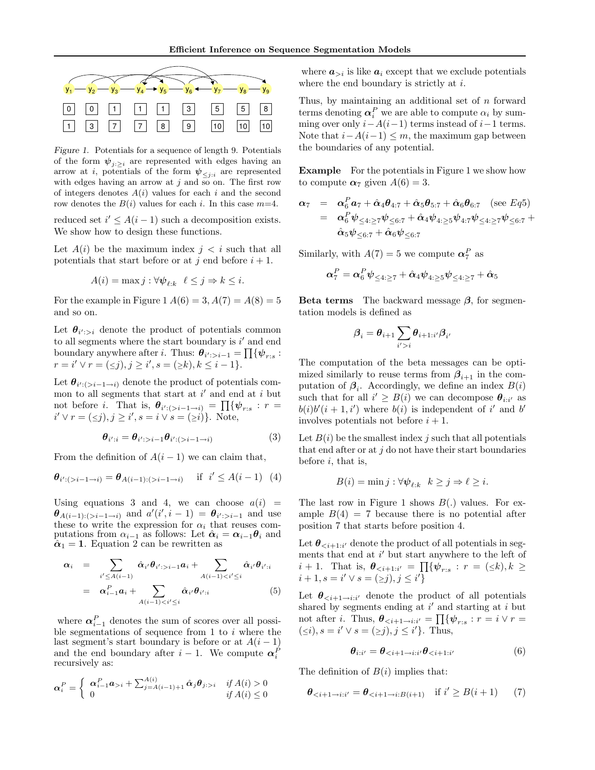

Figure 1. Potentials for a sequence of length 9. Potentials of the form  $\boldsymbol{\psi}_{j:\geq i}$  are represented with edges having an arrow at *i*, potentials of the form  $\psi_{\leq i:i}$  are represented with edges having an arrow at j and so on. The first row of integers denotes  $A(i)$  values for each i and the second row denotes the  $B(i)$  values for each i. In this case  $m=4$ .

reduced set  $i' \leq A(i-1)$  such a decomposition exists. We show how to design these functions.

Let  $A(i)$  be the maximum index  $i < i$  such that all potentials that start before or at j end before  $i + 1$ .

$$
A(i) = \max j : \forall \psi_{\ell:k} \quad \ell \leq j \Rightarrow k \leq i.
$$

For the example in Figure 1  $A(6) = 3, A(7) = A(8) = 5$ and so on.

Let  $\theta_{i' > i}$  denote the product of potentials common to all segments where the start boundary is  $i'$  and end boundary anywhere after *i*. Thus:  $\theta_{i':>i-1} = \prod \{ \psi_{r:s}$ :  $r = i' \vee r = (\leq j), j \geq i', s = (\geq k), k \leq i - 1$ .

Let  $\theta_{i' : (>i-1 \to i)}$  denote the product of potentials common to all segments that start at  $i'$  and end at i but not before *i*. That is,  $\boldsymbol{\theta}_{i':(>i-1\rightarrow i)} = \prod \{\boldsymbol{\psi}_{r:s} : r =$  $i' \vee r = (\le j), j \ge i', s = i \vee s = (\ge i)$ . Note,

$$
\boldsymbol{\theta}_{i':i} = \boldsymbol{\theta}_{i':>i-1} \boldsymbol{\theta}_{i':(>i-1\to i)}
$$
(3)

From the definition of  $A(i - 1)$  we can claim that,

$$
\theta_{i':(>i-1\to i)} = \theta_{A(i-1):(>i-1\to i)} \quad \text{if } i' \leq A(i-1) \tag{4}
$$

Using equations 3 and 4, we can choose  $a(i)$  =  $\theta_{A(i-1):(>i-1\rightarrow i)}$  and  $a'(i',i-1) = \theta_{i':>i-1}$  and use these to write the expression for  $\alpha_i$  that reuses computations from  $\alpha_{i-1}$  as follows: Let  $\hat{\alpha}_i = \alpha_{i-1} \theta_i$  and  $\hat{\alpha}_1 = 1$ . Equation 2 can be rewritten as

$$
\alpha_i = \sum_{i' \leq A(i-1)} \hat{\alpha}_{i'} \theta_{i':>i-1} a_i + \sum_{A(i-1) < i' \leq i} \hat{\alpha}_{i'} \theta_{i':i}
$$
\n
$$
= \alpha_{i-1}^P a_i + \sum_{A(i-1) < i' \leq i} \hat{\alpha}_{i'} \theta_{i':i} \tag{5}
$$

where  $\alpha_{i-1}^P$  denotes the sum of scores over all possible segmentations of sequence from  $1$  to  $i$  where the last segment's start boundary is before or at  $A(i-1)$ and the end boundary after  $i-1$ . We compute  $\alpha_i^F$ recursively as:

$$
\boldsymbol{\alpha}_i^P = \begin{cases} \begin{array}{c} \boldsymbol{\alpha}_{i-1}^P \boldsymbol{a}_{i} + \sum_{j=A(i-1)+1}^{A(i)} \hat{\boldsymbol{\alpha}}_j \boldsymbol{\theta}_{j \in [i]} & \text{if } A(i) > 0 \\ 0 & \text{if } A(i) \le 0 \end{array} \end{cases}
$$

where  $a_{>i}$  is like  $a_i$  except that we exclude potentials where the end boundary is strictly at  $i$ .

Thus, by maintaining an additional set of  $n$  forward terms denoting  $\alpha_i^P$  we are able to compute  $\alpha_i$  by summing over only  $i - A(i-1)$  terms instead of  $i-1$  terms. Note that  $i-A(i-1) \leq m$ , the maximum gap between the boundaries of any potential.

Example For the potentials in Figure 1 we show how to compute  $\alpha_7$  given  $A(6) = 3$ .

$$
\begin{array}{lcl} \pmb{\alpha}_7 & = & \pmb{\alpha}_6^P \pmb{a}_7 + \hat{\pmb{\alpha}}_4 \pmb{\theta}_{4:7} + \hat{\pmb{\alpha}}_5 \pmb{\theta}_{5:7} + \hat{\pmb{\alpha}}_6 \pmb{\theta}_{6:7} \pmod{(\sec Eq5)} \\ & = & \pmb{\alpha}_6^P \pmb{\psi}_{\leq 4:\geq 7} \pmb{\psi}_{\leq 6:7} + \hat{\pmb{\alpha}}_4 \pmb{\psi}_{4:\geq 5} \pmb{\psi}_{4:7} \pmb{\psi}_{\leq 4:\geq 7} \pmb{\psi}_{\leq 6:7} + \\ & & \hat{\pmb{\alpha}}_5 \pmb{\psi}_{\leq 6:7} + \hat{\pmb{\alpha}}_6 \pmb{\psi}_{\leq 6:7} \end{array}
$$

Similarly, with  $A(7) = 5$  we compute  $\alpha_7^P$  as

$$
\boldsymbol{\alpha}^P_{7} = \boldsymbol{\alpha}^P_{6} \boldsymbol{\psi}_{\leq 4:\geq 7} + \hat{\boldsymbol{\alpha}}_{4} \boldsymbol{\psi}_{4:\geq 5} \boldsymbol{\psi}_{\leq 4:\geq 7} + \hat{\boldsymbol{\alpha}}_{5}
$$

**Beta terms** The backward message  $\beta$ , for segmentation models is defined as

$$
\boldsymbol{\beta}_i = \boldsymbol{\theta}_{i+1} \sum_{i'>i} \boldsymbol{\theta}_{i+1:i'} \boldsymbol{\beta}_{i'}
$$

The computation of the beta messages can be optimized similarly to reuse terms from  $\beta_{i+1}$  in the computation of  $\beta_i$ . Accordingly, we define an index  $B(i)$ such that for all  $i' \geq B(i)$  we can decompose  $\theta_{i:i'}$  as  $b(i)b'(i+1,i')$  where  $b(i)$  is independent of i' and b' involves potentials not before  $i + 1$ .

Let  $B(i)$  be the smallest index j such that all potentials that end after or at  $j$  do not have their start boundaries before  $i$ , that is,

$$
B(i) = \min j : \forall \psi_{\ell:k} \quad k \geq j \Rightarrow \ell \geq i.
$$

The last row in Figure 1 shows  $B(.)$  values. For example  $B(4) = 7$  because there is no potential after position 7 that starts before position 4.

Let  $\boldsymbol{\theta}_{\leq i+1:i'}$  denote the product of all potentials in segments that end at  $i'$  but start anywhere to the left of  $i+1$ . That is,  $\boldsymbol{\theta}_{\leq i+1:i'} = \prod \{ \boldsymbol{\psi}_{r:s} : r = (\leq k), k \geq 0\}$  $i + 1, s = i' \vee s = (\ge j), j \le i'$ 

Let  $\theta_{\leq i+1\to i:i'}$  denote the product of all potentials shared by segments ending at  $i'$  and starting at i but not after *i*. Thus,  $\boldsymbol{\theta}_{\leq i+1 \to i:i'} = \prod \{ \boldsymbol{\psi}_{r:s} : r = i \vee r = i$  $(\leq i), s = i' \vee s = (\geq j), j \leq i' \}.$  Thus,

$$
\boldsymbol{\theta}_{i:i'} = \boldsymbol{\theta}_{\n(6)
$$

The definition of  $B(i)$  implies that:

$$
\theta_{\leq i+1 \to i:i'} = \theta_{\leq i+1 \to i:B(i+1)} \quad \text{if } i' \geq B(i+1) \tag{7}
$$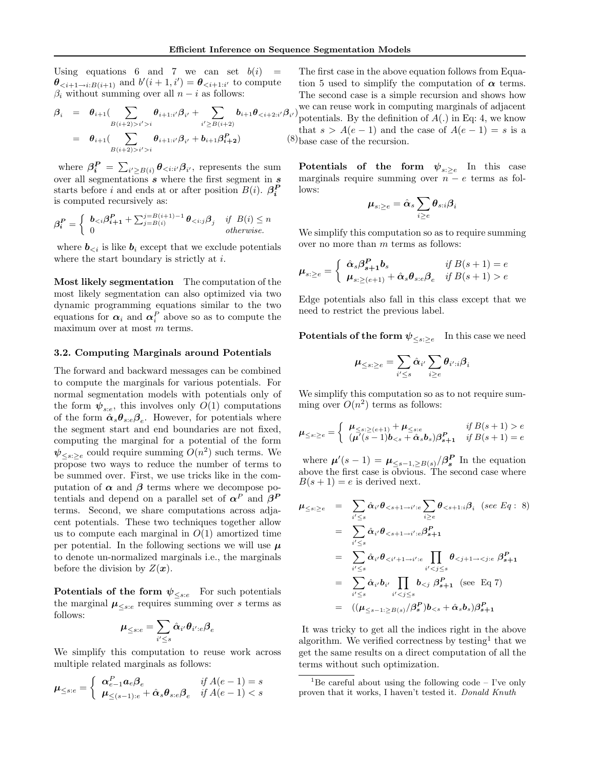Using equations 6 and 7 we can set  $b(i)$  $\theta_{\leq i+1\to i:B(i+1)}$  and  $b'(i+1,i') = \theta_{\leq i+1:i'}$  to compute  $\beta_i$  without summing over all  $n - i$  as follows:

$$
\beta_{i} = \theta_{i+1} \left( \sum_{B(i+2) > i' > i} \theta_{i+1:i'} \beta_{i'} + \sum_{i' \geq B(i+2)} b_{i+1} \theta_{< i+2:i'} \beta_{i'} \right)
$$
  
\n
$$
= \theta_{i+1} \left( \sum_{B(i+2) > i' > i} \theta_{i+1:i'} \beta_{i'} + b_{i+1} \beta_{i+2}^{P} \right) \tag{8}
$$

where  $\beta_i^P = \sum_{i' \geq B(i)} \theta_{\leq i:i'} \beta_{i'}$ , represents the sum over all segmentations  $s$  where the first segment in  $s$ starts before *i* and ends at or after position  $B(i)$ .  $\beta_i^P$ is computed recursively as:

$$
\beta_i^P = \begin{cases} b_{\leq i} \beta_{i+1}^P + \sum_{j=B(i)}^{j=B(i+1)-1} \theta_{\leq i:j} \beta_j & \text{if } B(i) \leq n \\ 0 & \text{otherwise.} \end{cases}
$$

where  $b_{\leq i}$  is like  $b_i$  except that we exclude potentials where the start boundary is strictly at i.

Most likely segmentation The computation of the most likely segmentation can also optimized via two dynamic programming equations similar to the two equations for  $\alpha_i$  and  $\alpha_i^P$  above so as to compute the maximum over at most m terms.

#### 3.2. Computing Marginals around Potentials

The forward and backward messages can be combined to compute the marginals for various potentials. For normal segmentation models with potentials only of the form  $\psi_{s:e}$ , this involves only  $O(1)$  computations of the form  $\hat{\alpha}_{s} \theta_{s:e} \beta_{e}$ . However, for potentials where the segment start and end boundaries are not fixed, computing the marginal for a potential of the form  $\psi_{\leq s:\geq e}$  could require summing  $O(n^2)$  such terms. We propose two ways to reduce the number of terms to be summed over. First, we use tricks like in the computation of  $\alpha$  and  $\beta$  terms where we decompose potentials and depend on a parallel set of  $\alpha^P$  and  $\beta^P$ terms. Second, we share computations across adjacent potentials. These two techniques together allow us to compute each marginal in  $O(1)$  amortized time per potential. In the following sections we will use  $\mu$ to denote un-normalized marginals i.e., the marginals before the division by  $Z(\boldsymbol{x})$ .

Potentials of the form  $\psi_{\leq s:e}$  For such potentials the marginal  $\mu_{\leq s:e}$  requires summing over s terms as follows:

$$
\boldsymbol{\mu}_{\leq s:e} = \sum_{i' \leq s} \hat{\boldsymbol{\alpha}}_{i'} \boldsymbol{\theta}_{i':e} \boldsymbol{\beta}_e
$$

We simplify this computation to reuse work across multiple related marginals as follows:

$$
\mu_{\leq s:e} = \begin{cases} \alpha_{e-1}^P a_e \beta_e & \text{if } A(e-1) = s \\ \mu_{\leq (s-1):e} + \hat{\alpha}_s \theta_{s:e} \beta_e & \text{if } A(e-1) < s \end{cases}
$$

The first case in the above equation follows from Equation 5 used to simplify the computation of  $\alpha$  terms. The second case is a simple recursion and shows how

 $(\beta_i)$  we can reuse work in computing marginals of adjacent<br> $(\beta_i)$  potentials. By the definition of  $A(.)$  in Eq. 4, we know potentials. By the definition of  $A(.)$  in Eq: 4, we know that  $s > A(e-1)$  and the case of  $A(e-1) = s$  is a 8) base case of the recursion.

Potentials of the form  $\psi_{s:\geq e}$  In this case marginals require summing over  $n - e$  terms as follows:

$$
\boldsymbol{\mu}_{s:\geq e} = \hat{\boldsymbol{\alpha}}_s \sum_{i\geq e} \boldsymbol{\theta}_{s:i}\boldsymbol{\beta}_i
$$

We simplify this computation so as to require summing over no more than m terms as follows:

$$
\boldsymbol{\mu}_{s:\geq e} = \begin{cases} \begin{array}{c} \hat{\boldsymbol{\alpha}}_s \boldsymbol{\beta}_{s+1}^{\boldsymbol{P}} \boldsymbol{b}_s & \text{if } B(s+1) = e \\ \boldsymbol{\mu}_{s:\geq (e+1)} + \hat{\boldsymbol{\alpha}}_s \boldsymbol{\theta}_{s:e} \boldsymbol{\beta}_e & \text{if } B(s+1) > e \end{array} \end{cases}
$$

Edge potentials also fall in this class except that we need to restrict the previous label.

 ${\bf Potentials~of~the~form}~{\psi}_{\leq s:\geq e}\quad \hbox{In this case we need}$ 

$$
\boldsymbol{\mu}_{\leq s:\geq e} = \sum_{i'\leq s} \hat{\boldsymbol{\alpha}}_{i'} \sum_{i\geq e} \boldsymbol{\theta}_{i':i} \boldsymbol{\beta}_i
$$

We simplify this computation so as to not require summing over  $O(n^2)$  terms as follows:

$$
\mu_{\leq s:\geq e} = \begin{cases}\n\mu_{\leq s:\geq (e+1)} + \mu_{\leq s:e} & \text{if } B(s+1) > e \\
(\mu'(s-1)b_{\leq s} + \hat{\alpha}_s b_s) \beta_{s+1}^P & \text{if } B(s+1) = e\n\end{cases}
$$

where  $\mu'(s-1) = \mu_{\leq s-1,\geq B(s)}/\beta_s^P$  In the equation above the first case is obvious. The second case where  $B(s + 1) = e$  is derived next.

$$
\mu_{\leq s:\geq e} = \sum_{i' \leq s} \hat{\alpha}_{i'} \theta_{\leq s+1 \to i':e} \sum_{i \geq e} \theta_{\leq s+1:i} \beta_i \quad (see \ Eq: 8)
$$
  
\n
$$
= \sum_{i' \leq s} \hat{\alpha}_{i'} \theta_{\leq s+1 \to i':e} \beta_{s+1}^P
$$
  
\n
$$
= \sum_{i' \leq s} \hat{\alpha}_{i'} \theta_{\leq i'+1 \to i':e} \prod_{i' < j \leq s} \theta_{\leq j+1 \to \leq j:e} \beta_{s+1}^P
$$
  
\n
$$
= \sum_{i' \leq s} \hat{\alpha}_{i'} b_{i'} \prod_{i' < j \leq s} b_{\leq j} \beta_{s+1}^P \quad (\text{see Eq 7})
$$
  
\n
$$
= ((\mu_{\leq s-1:\geq B(s)} / \beta_s^P) b_{\leq s} + \hat{\alpha}_s b_s) \beta_{s+1}^P
$$

It was tricky to get all the indices right in the above algorithm. We verified correctness by testing<sup>1</sup> that we get the same results on a direct computation of all the terms without such optimization.

<sup>&</sup>lt;sup>1</sup>Be careful about using the following code – I've only proven that it works, I haven't tested it. Donald Knuth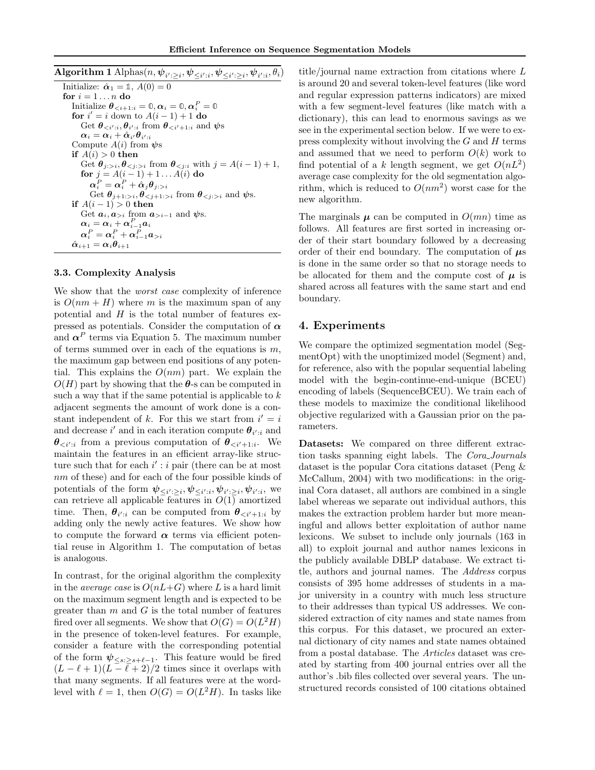| $\operatorname{Algorithm} \mathbf{1} \operatorname{Alphas}(n, \bm \psi_{i':>i}, \bm \psi_{< i':i}, \bm \psi_{< i':>i}, \bm \psi_{i':i}, \theta_i)$ |
|----------------------------------------------------------------------------------------------------------------------------------------------------|
| Initialize: $\hat{\boldsymbol{\alpha}}_1 = \mathbb{1}, A(0) = 0$                                                                                   |
| for $i=1n$ do                                                                                                                                      |
| Initialize $\boldsymbol{\theta}_{\leq i+1:i} = \mathbb{0}, \boldsymbol{\alpha}_i = \mathbb{0}, \boldsymbol{\alpha}_i^P = \mathbb{0}$               |
| for $i' = i$ down to $A(i - 1) + 1$ do                                                                                                             |
| Get $\theta_{\leq i';i}, \theta_{i';i}$ from $\theta_{\leq i'+1;i}$ and $\psi$ s                                                                   |
| $\alpha_i = \alpha_i + \hat{\alpha}_{i'}\theta_{i'ij}$                                                                                             |
| Compute $A(i)$ from $\psi$ s                                                                                                                       |
| if $A(i) > 0$ then                                                                                                                                 |
| Get $\theta_{j \colon i}, \theta_{\leq j \colon i}$ from $\theta_{\leq j \colon i}$ with $j = A(i-1) + 1$ ,                                        |
| for $j = A(i-1) + 1 A(i)$ do                                                                                                                       |
| $\alpha_i^P = \alpha_i^P + \hat{\alpha}_i \theta_{i \in \mathcal{I}}$                                                                              |
| Get $\theta_{i+1 >i}, \theta_{\leq i+1 >i}$ from $\theta_{\leq i\leq i}$ and $\psi$ s.                                                             |
| if $A(i-1) > 0$ then                                                                                                                               |
| Get $a_i, a_{\geq i}$ from $a_{\geq i-1}$ and $\psi$ s.                                                                                            |
| $\alpha_i = \alpha_i + \alpha_{i-1}^P a_i$                                                                                                         |
| $\alpha_i^P = \alpha_i^P + \alpha_{i-1}^P a_{>i}$                                                                                                  |
| $\hat{\boldsymbol{\alpha}}_{i+1}=\boldsymbol{\alpha}_i\boldsymbol{\theta}_{i+1}$                                                                   |

#### 3.3. Complexity Analysis

We show that the *worst case* complexity of inference is  $O(nm + H)$  where m is the maximum span of any potential and  $H$  is the total number of features expressed as potentials. Consider the computation of  $\alpha$ and  $\alpha^P$  terms via Equation 5. The maximum number of terms summed over in each of the equations is  $m$ , the maximum gap between end positions of any potential. This explains the  $O(nm)$  part. We explain the  $O(H)$  part by showing that the  $\theta$ -s can be computed in such a way that if the same potential is applicable to  $k$ adjacent segments the amount of work done is a constant independent of k. For this we start from  $i' = i$ and decrease i' and in each iteration compute  $\theta_{i':i}$  and  $\theta_{\langle i':i}$  from a previous computation of  $\theta_{\langle i'+1:i}$ . We maintain the features in an efficient array-like structure such that for each  $i' : i$  pair (there can be at most nm of these) and for each of the four possible kinds of potentials of the form  $\psi_{\leq i':\geq i}, \psi_{\leq i':i}, \psi_{i':\geq i}, \psi_{i':i},$  we can retrieve all applicable features in  $O(1)$  amortized time. Then,  $\theta_{i':i}$  can be computed from  $\theta_{\langle i'+1:i}$  by adding only the newly active features. We show how to compute the forward  $\alpha$  terms via efficient potential reuse in Algorithm 1. The computation of betas is analogous.

In contrast, for the original algorithm the complexity in the *average case* is  $O(nL+G)$  where L is a hard limit on the maximum segment length and is expected to be greater than  $m$  and  $G$  is the total number of features fired over all segments. We show that  $O(G) = O(L^2H)$ in the presence of token-level features. For example, consider a feature with the corresponding potential of the form  $\psi_{\leq s:\geq s+\ell-1}$ . This feature would be fired  $(L - \ell + 1)(L - \overline{\ell} + 2)/2$  times since it overlaps with that many segments. If all features were at the wordlevel with  $\ell = 1$ , then  $O(G) = O(L^2H)$ . In tasks like title/journal name extraction from citations where L is around 20 and several token-level features (like word and regular expression patterns indicators) are mixed with a few segment-level features (like match with a dictionary), this can lead to enormous savings as we see in the experimental section below. If we were to express complexity without involving the  $G$  and  $H$  terms and assumed that we need to perform  $O(k)$  work to find potential of a k length segment, we get  $O(nL^2)$ average case complexity for the old segmentation algorithm, which is reduced to  $O(nm^2)$  worst case for the new algorithm.

The marginals  $\mu$  can be computed in  $O(mn)$  time as follows. All features are first sorted in increasing order of their start boundary followed by a decreasing order of their end boundary. The computation of  $\mu$ s is done in the same order so that no storage needs to be allocated for them and the compute cost of  $\mu$  is shared across all features with the same start and end boundary.

### 4. Experiments

We compare the optimized segmentation model (SegmentOpt) with the unoptimized model (Segment) and, for reference, also with the popular sequential labeling model with the begin-continue-end-unique (BCEU) encoding of labels (SequenceBCEU). We train each of these models to maximize the conditional likelihood objective regularized with a Gaussian prior on the parameters.

Datasets: We compared on three different extraction tasks spanning eight labels. The Cora Journals dataset is the popular Cora citations dataset (Peng & McCallum, 2004) with two modifications: in the original Cora dataset, all authors are combined in a single label whereas we separate out individual authors, this makes the extraction problem harder but more meaningful and allows better exploitation of author name lexicons. We subset to include only journals (163 in all) to exploit journal and author names lexicons in the publicly available DBLP database. We extract title, authors and journal names. The Address corpus consists of 395 home addresses of students in a major university in a country with much less structure to their addresses than typical US addresses. We considered extraction of city names and state names from this corpus. For this dataset, we procured an external dictionary of city names and state names obtained from a postal database. The Articles dataset was created by starting from 400 journal entries over all the author's .bib files collected over several years. The unstructured records consisted of 100 citations obtained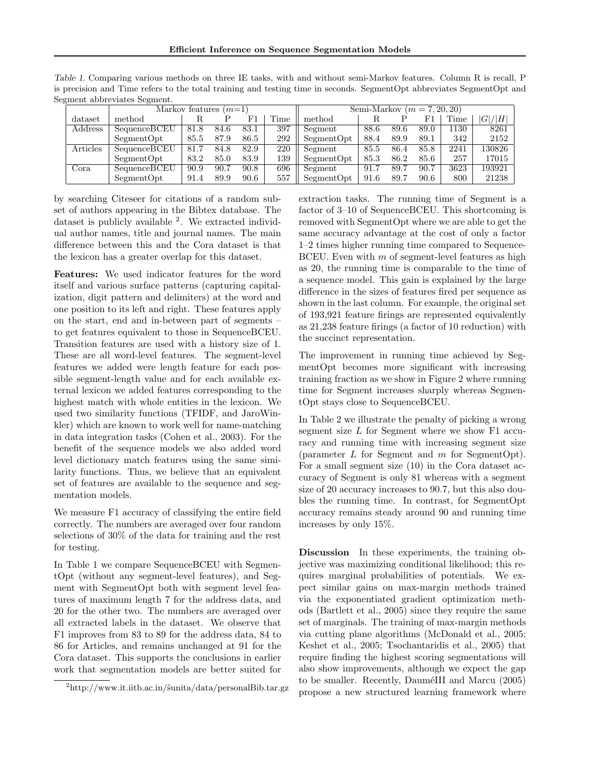Efficient Inference on Sequence Segmentation Models

|          | Markov features $(m=1)$ |      |      |      |      | Semi-Markov $(m = 7, 20, 20)$ |      |      |      |      |        |
|----------|-------------------------|------|------|------|------|-------------------------------|------|------|------|------|--------|
| dataset  | method                  |      |      | F1   | Time | method                        |      |      | F٦   | Time | G / H  |
| Address  | SequenceBCEU            | 81.8 | 84.6 | 83.1 | 397  | Segment                       | 88.6 | 89.6 | 89.0 | 1130 | 8261   |
|          | SegmentOpt              | 85.5 | 87.9 | 86.5 | 292  | SegmentOpt                    | 88.4 | 89.9 | 89.1 | 342  | 2152   |
| Articles | SequenceBCEU            | 81.7 | 84.8 | 82.9 | 220  | Segment                       | 85.5 | 86.4 | 85.8 | 2241 | 130826 |
|          | SegmentOpt              | 83.2 | 85.0 | 83.9 | 139  | SegmentOpt                    | 85.3 | 86.2 | 85.6 | 257  | 17015  |
| Cora     | SequenceBCEU            | 90.9 | 90.7 | 90.8 | 696  | Segment                       | 91.7 | 89.7 | 90.7 | 3623 | 193921 |
|          | SegmentOpt              | 91.4 | 89.9 | 90.6 | 557  | SegmentOpt                    | 91.6 | 89.7 | 90.6 | 800  | 21238  |

Table 1. Comparing various methods on three IE tasks, with and without semi-Markov features. Column R is recall, P is precision and Time refers to the total training and testing time in seconds. SegmentOpt abbreviates SegmentOpt and Segment abbreviates Segment.

by searching Citeseer for citations of a random subset of authors appearing in the Bibtex database. The dataset is publicly available <sup>2</sup>. We extracted individual author names, title and journal names. The main difference between this and the Cora dataset is that the lexicon has a greater overlap for this dataset.

Features: We used indicator features for the word itself and various surface patterns (capturing capitalization, digit pattern and delimiters) at the word and one position to its left and right. These features apply on the start, end and in-between part of segments – to get features equivalent to those in SequenceBCEU. Transition features are used with a history size of 1. These are all word-level features. The segment-level features we added were length feature for each possible segment-length value and for each available external lexicon we added features corresponding to the highest match with whole entities in the lexicon. We used two similarity functions (TFIDF, and JaroWinkler) which are known to work well for name-matching in data integration tasks (Cohen et al., 2003). For the benefit of the sequence models we also added word level dictionary match features using the same similarity functions. Thus, we believe that an equivalent set of features are available to the sequence and segmentation models.

We measure F1 accuracy of classifying the entire field correctly. The numbers are averaged over four random selections of 30% of the data for training and the rest for testing.

In Table 1 we compare SequenceBCEU with SegmentOpt (without any segment-level features), and Segment with SegmentOpt both with segment level features of maximum length 7 for the address data, and 20 for the other two. The numbers are averaged over all extracted labels in the dataset. We observe that F1 improves from 83 to 89 for the address data, 84 to 86 for Articles, and remains unchanged at 91 for the Cora dataset. This supports the conclusions in earlier work that segmentation models are better suited for extraction tasks. The running time of Segment is a factor of 3–10 of SequenceBCEU. This shortcoming is removed with SegmentOpt where we are able to get the same accuracy advantage at the cost of only a factor 1–2 times higher running time compared to Sequence-BCEU. Even with  $m$  of segment-level features as high as 20, the running time is comparable to the time of a sequence model. This gain is explained by the large difference in the sizes of features fired per sequence as shown in the last column. For example, the original set of 193,921 feature firings are represented equivalently as 21,238 feature firings (a factor of 10 reduction) with the succinct representation.

The improvement in running time achieved by SegmentOpt becomes more significant with increasing training fraction as we show in Figure 2 where running time for Segment increases sharply whereas SegmentOpt stays close to SequenceBCEU.

In Table 2 we illustrate the penalty of picking a wrong segment size L for Segment where we show F1 accuracy and running time with increasing segment size (parameter  $L$  for Segment and  $m$  for SegmentOpt). For a small segment size (10) in the Cora dataset accuracy of Segment is only 81 whereas with a segment size of 20 accuracy increases to 90.7, but this also doubles the running time. In contrast, for SegmentOpt accuracy remains steady around 90 and running time increases by only 15%.

Discussion In these experiments, the training objective was maximizing conditional likelihood; this requires marginal probabilities of potentials. We expect similar gains on max-margin methods trained via the exponentiated gradient optimization methods (Bartlett et al., 2005) since they require the same set of marginals. The training of max-margin methods via cutting plane algorithms (McDonald et al., 2005; Keshet et al., 2005; Tsochantaridis et al., 2005) that require finding the highest scoring segmentations will also show improvements, although we expect the gap to be smaller. Recently, Daume<sup>III</sup> and Marcu (2005) propose a new structured learning framework where

 $^{2}$ http://www.it.iitb.ac.in/ $\tilde{\text{s}}$ unita/data/personalBib.tar.gz